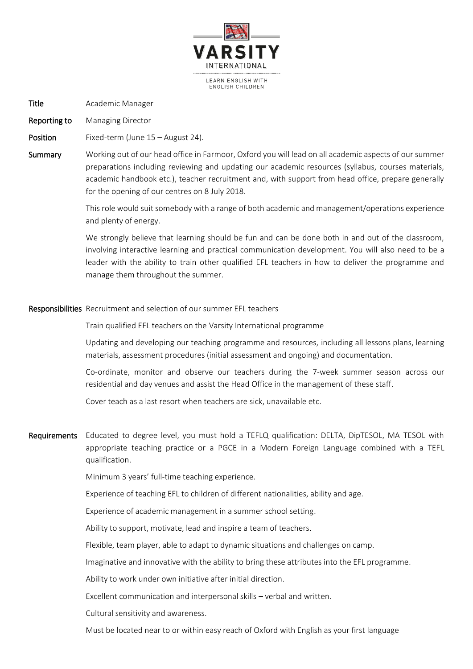

Title **Academic Manager** 

Reporting to Managing Director

Position Fixed-term (June 15 – August 24).

Summary Working out of our head office in Farmoor, Oxford you will lead on all academic aspects of our summer preparations including reviewing and updating our academic resources (syllabus, courses materials, academic handbook etc.), teacher recruitment and, with support from head office, prepare generally for the opening of our centres on 8 July 2018.

> This role would suit somebody with a range of both academic and management/operations experience and plenty of energy.

> We strongly believe that learning should be fun and can be done both in and out of the classroom, involving interactive learning and practical communication development. You will also need to be a leader with the ability to train other qualified EFL teachers in how to deliver the programme and manage them throughout the summer.

## Responsibilities Recruitment and selection of our summer EFL teachers

Train qualified EFL teachers on the Varsity International programme

Updating and developing our teaching programme and resources, including all lessons plans, learning materials, assessment procedures (initial assessment and ongoing) and documentation.

Co-ordinate, monitor and observe our teachers during the 7-week summer season across our residential and day venues and assist the Head Office in the management of these staff.

Cover teach as a last resort when teachers are sick, unavailable etc.

Requirements Educated to degree level, you must hold a TEFLQ qualification: DELTA, DipTESOL, MA TESOL with appropriate teaching practice or a PGCE in a Modern Foreign Language combined with a TEFL qualification.

Minimum 3 years' full-time teaching experience.

Experience of teaching EFL to children of different nationalities, ability and age.

Experience of academic management in a summer school setting.

Ability to support, motivate, lead and inspire a team of teachers.

Flexible, team player, able to adapt to dynamic situations and challenges on camp.

Imaginative and innovative with the ability to bring these attributes into the EFL programme.

Ability to work under own initiative after initial direction.

Excellent communication and interpersonal skills – verbal and written.

Cultural sensitivity and awareness.

Must be located near to or within easy reach of Oxford with English as your first language